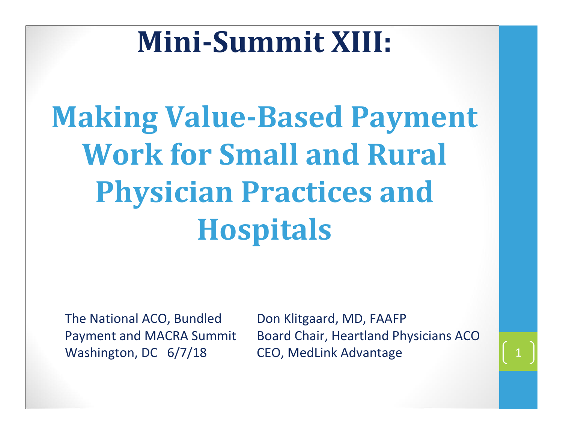### **MiniSummit XIII:**

### **Making Value-Based Payment Work for Small and Rural Physician Practices and Hospitals**

The National ACO, Bundled Payment and MACRA Summit Washington, DC 6/7/18

Don Klitgaard, MD, FAAFP Board Chair, Heartland Physicians ACO CEO, MedLink Advantage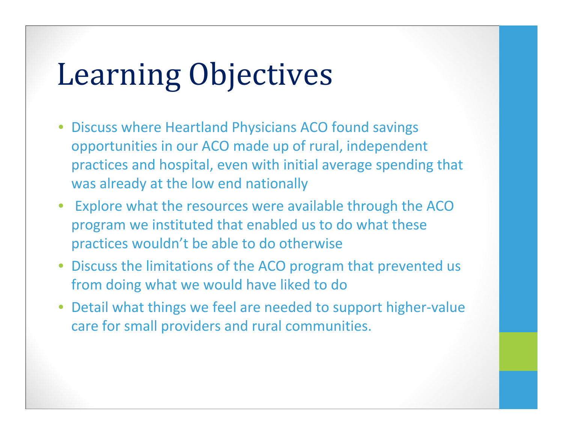### Learning Objectives

- Discuss where Heartland Physicians ACO found savings opportunities in our ACO made up of rural, independent practices and hospital, even with initial average spending that was already at the low end nationally
- Explore what the resources were available through the ACO program we instituted that enabled us to do what these practices wouldn't be able to do otherwise
- Discuss the limitations of the ACO program that prevented us from doing what we would have liked to do
- Detail what things we feel are needed to support higher ‐value care for small providers and rural communities.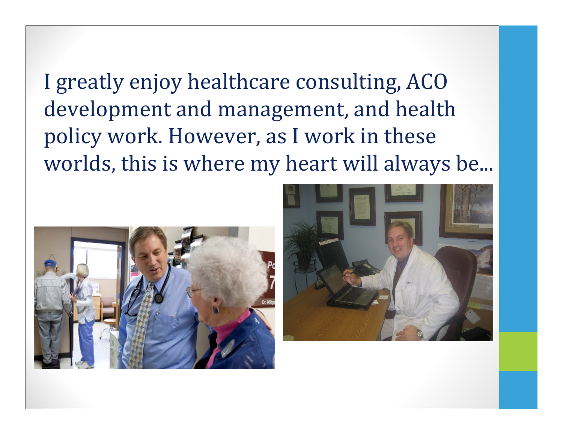I greatly enjoy healthcare consulting, ACO development and management, and health policy work. However, as I work in these worlds, this is where my heart will always be...



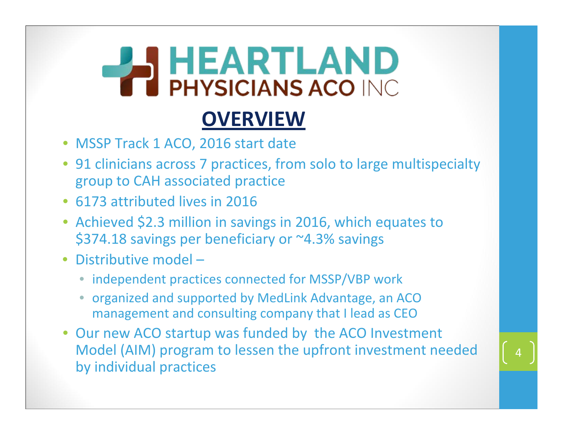# **PHYSICIANS ACO INC.**

#### **OVERVIEW**

- MSSP Track 1 ACO, 2016 start date
- 91 clinicians across 7 practices, from solo to large multispecialty group to CAH associated practice
- 6173 attributed lives in 2016
- Achieved \$2.3 million in savings in 2016, which equates to \$374.18 savings per beneficiary or ~4.3% savings
- Distributive model
	- independent practices connected for MSSP/VBP work
	- organized and supported by MedLink Advantage, an ACO management and consulting company that I lead as CEO
- Our new ACO startup was funded by the ACO Investment Model (AIM) program to lessen the upfront investment needed by individual practices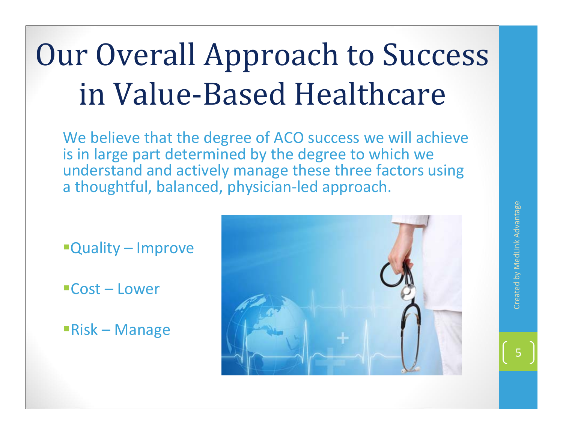### Our Overall Approach to Success in Value‐Based Healthcare

We believe that the degree of ACO success we will achieve is in large part determined by the degree to which we understand and actively manage these three factors using a thoughtful, balanced, physician ‐led approach.

- Quality Improve
- Cost Lower
- Risk Manage

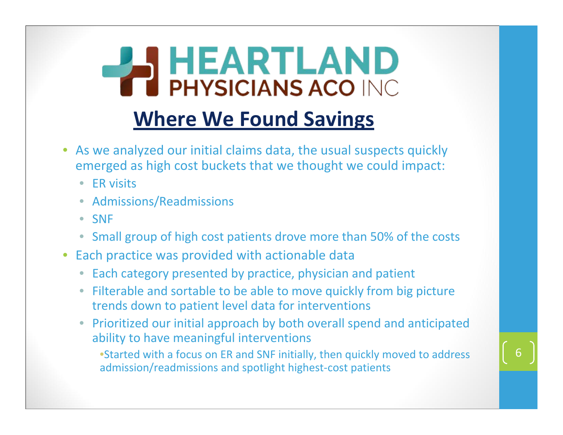### **HEARTLAND PHYSICIANS ACO INC Where We Found Savings**

- As we analyzed our initial claims data, the usual suspects quickly emerged as high cost buckets that we thought we could impact:
	- ER visits
	- Admissions/Readmissions
	- SNF
	- Small group of high cost patients drove more than 50% of the costs
- Each practice was provided with actionable data
	- Each category presented by practice, physician and patient
	- Filterable and sortable to be able to move quickly from big picture trends down to patient level data for interventions
	- Prioritized our initial approach by both overall spend and anticipated ability to have meaningful interventions

•Started with <sup>a</sup> focus on ER and SNF initially, then quickly moved to address admission/readmissions and spotlight highest‐cost patients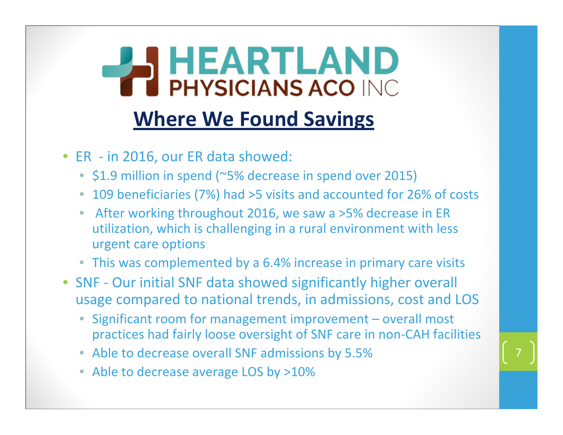# **HEARTLAND Where We Found Savings**

- ER ‐ in 2016, our ER data showed:
	- \$1.9 million in spend (~5% decrease in spend over 2015)
	- 109 beneficiaries (7%) had >5 visits and accounted for 26% of costs
	- After working throughout 2016, we saw <sup>a</sup> >5% decrease in ER utilization, which is challenging in <sup>a</sup> rural environment with less urgent care options
	- This was complemented by <sup>a</sup> 6.4% increase in primary care visits
- SNF Our initial SNF data showed significantly higher overall usage compared to national trends, in admissions, cost and LOS
	- Significant room for management improvement overall most practices had fairly loose oversight of SNF care in non‐CAH facilities

- Able to decrease overall SNF admissions by 5.5%
- Able to decrease average LOS by >10%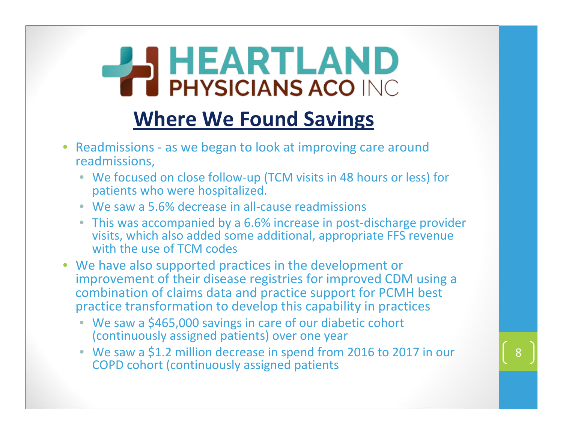# **BU HEARTLAND Where We Found Savings**

- Readmissions ‐ as we began to look at improving care around readmissions,
	- We focused on close follow‐up (TCM visits in 48 hours or less) for patients who were hospitalized.
	- We saw a 5.6% decrease in all-cause readmissions
	- This was accompanied by a 6.6% increase in post-discharge provider visits, which also added some additional, appropriate FFS revenue with the use of TCM codes
- We have also supported practices in the development or improvement of their disease registries for improved CDM using <sup>a</sup> combination of claims data and practice support for PCMH best practice transformation to develop this capability in practices
	- We saw <sup>a</sup> \$465,000 savings in care of our diabetic cohort (continuously assigned patients) over one year
	- We saw <sup>a</sup> \$1.2 million decrease in spend from 2016 to 2017 in our COPD cohort (continuously assigned patients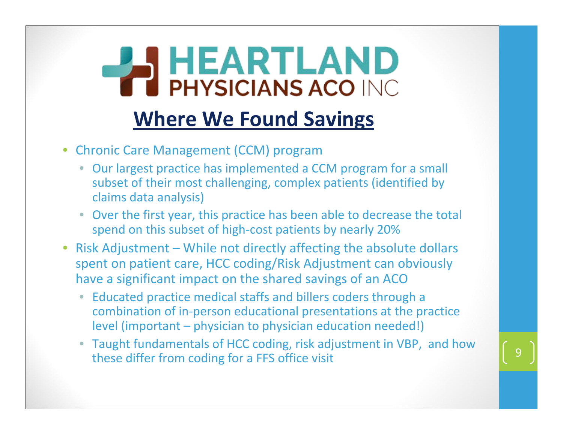# **PHYSICIANS ACO INC. Where We Found Savings**

- Chronic Care Management (CCM) program
	- Our largest practice has implemented <sup>a</sup> CCM program for <sup>a</sup> small subset of their most challenging, complex patients (identified by claims data analysis)
	- Over the first year, this practice has been able to decrease the total spend on this subset of high-cost patients by nearly 20%
- Risk Adjustment While not directly affecting the absolute dollars spent on patient care, HCC coding/Risk Adjustment can obviously have <sup>a</sup> significant impact on the shared savings of an ACO
	- Educated practice medical staffs and billers coders through <sup>a</sup> combination of in‐person educational presentations at the practice level (important – physician to physician education needed!)
	- Taught fundamentals of HCC coding, risk adjustment in VBP, and how these differ from coding for a FFS office visit and the set of the set of the set of the set of the set of the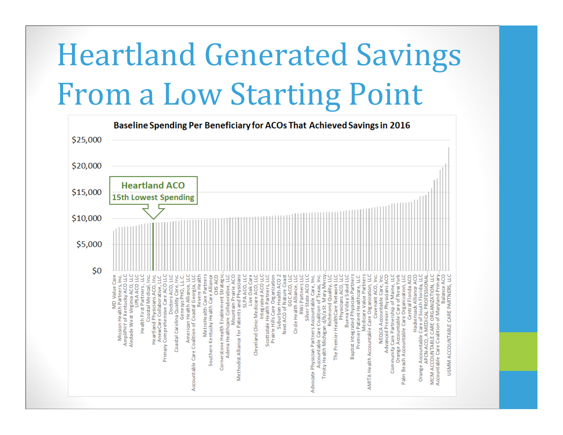### Heartland Generated Savings From a Low Starting Point

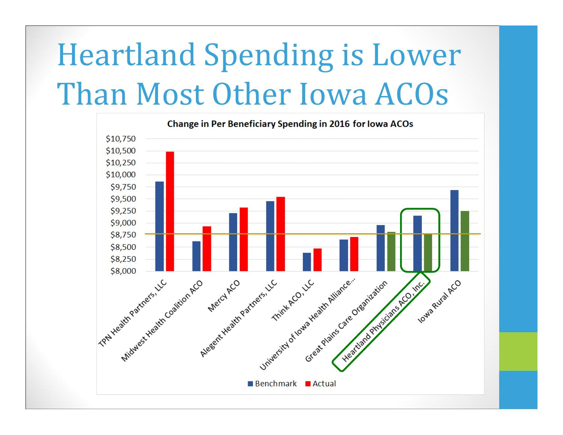### Heartland Spending is Lower Than Most Other Iowa ACOs

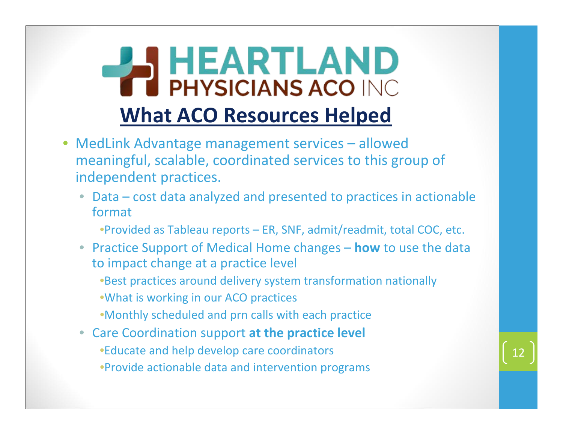### **HEARTLAND TE PHYSICIANS ACO INC What ACO Resources Helped**

- MedLink Advantage management services allowed meaningful, scalable, coordinated services to this group of independent practices.
	- Data cost data analyzed and presented to practices in actionable format
		- •Provided as Tableau reports ER, SNF, admit/readmit, total COC, etc.
	- Practice Support of Medical Home changes **how** to use the data to impact change at <sup>a</sup> practice level
		- •Best practices around delivery system transformation nationally
		- •What is working in our ACO practices
		- •Monthly scheduled and prn calls with each practice
	- Care Coordination support **at the practice level** •Educate and help develop care coordinators •Provide actionable data and intervention programs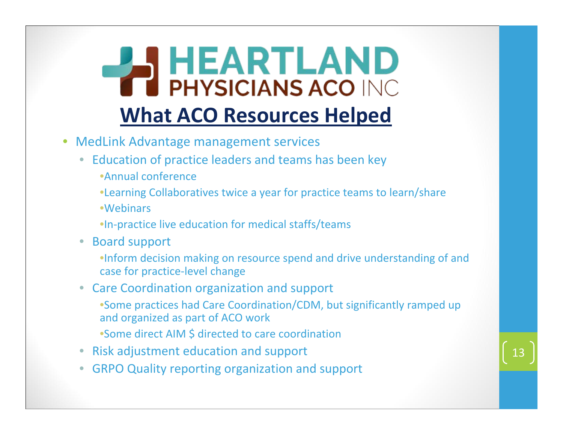## **PHYSICIANS ACO INC. What ACO Resources Helped**

- MedLink Advantage management services
	- Education of practice leaders and teams has been key •Annual conference
		- •Learning Collaboratives twice <sup>a</sup> year for practice teams to learn/share
		- •Webinars
		- •In‐practice live education for medical staffs/teams
	- Board support
		- •Inform decision making on resource spend and drive understanding of and case for practice‐level change
	- Care Coordination organization and support
		- •Some practices had Care Coordination/CDM, but significantly ramped up and organized as part of ACO work
		- •Some direct AIM \$ directed to care coordination
	- Risk adjustment education and support
	- GRPO Quality reporting organization and support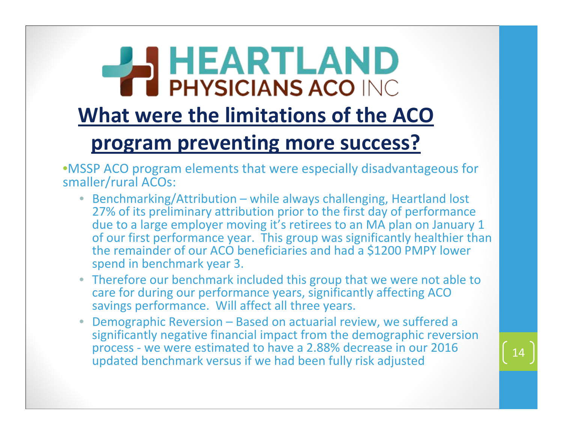### **HEARTLAND What were the limitations of the ACO program preventing more success?**

•MSSP ACO program elements that were especially disadvantageous for smaller/rural ACOs:

- Benchmarking/Attribution while always challenging, Heartland lost 27% of its preliminary attribution prior to the first day of performance due to a large employer moving it's retirees to an MA plan on January 1 of our first performance year. This group was significantly healthier than the remainder of our ACO beneficiaries and had a \$1200 PMPY lower spend in benchmark year 3.
- Therefore our benchmark included this group that we were not able to care for during our performance years, significantly affecting ACO savings performance. Will affect all three years.
- Demographic Reversion Based on actuarial review, we suffered a significantly negative financial impact from the demographic reversion process ‐ we were estimated to have a 2.88% decrease in our 2016 updated benchmark versus if we had been fully risk adjusted <sup>14</sup>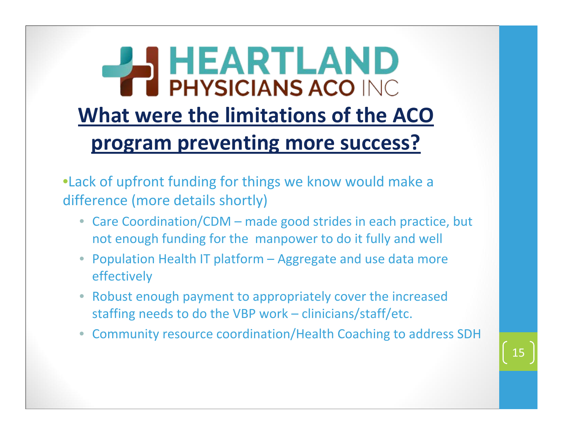### **HEARTLAND PHYSICIANS ACO INC What were the limitations of the ACO program preventing more success?**

•Lack of upfront funding for things we know would make <sup>a</sup> difference (more details shortly)

- Care Coordination/CDM made good strides in each practice, but not enough funding for the manpower to do it fully and well
- Population Health IT platform Aggregate and use data more effectively
- Robust enough payment to appropriately cover the increased staffing needs to do the VBP work – clinicians/staff/etc.
- Community resource coordination/Health Coaching to address SDH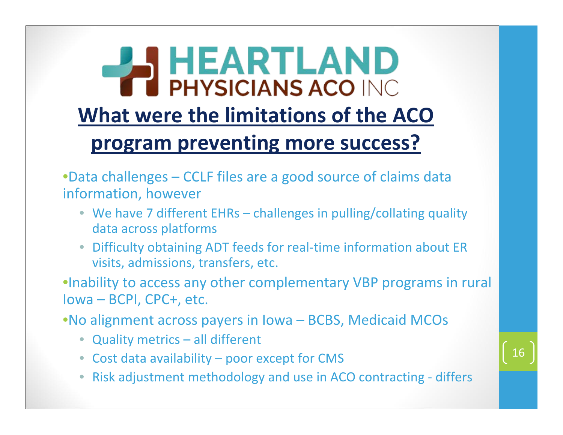### **I HEARTLAND TERNATIONAL PHYSICIANS ACO INC What were the limitations of the ACO program preventing more success?**

•Data challenges – CCLF files are <sup>a</sup> good source of claims data information, however

- We have 7 different EHRs challenges in pulling/collating quality data across platforms
- Difficulty obtaining ADT feeds for real‐time information about ER visits, admissions, transfers, etc.

•Inability to access any other complementary VBP programs in rural Iowa – BCPI, CPC+, etc.

•No alignment across payers in Iowa – BCBS, Medicaid MCOs

- Quality metrics all different
- Cost data availability poor except for CMS
- Risk adjustment methodology and use in ACO contracting ‐ differs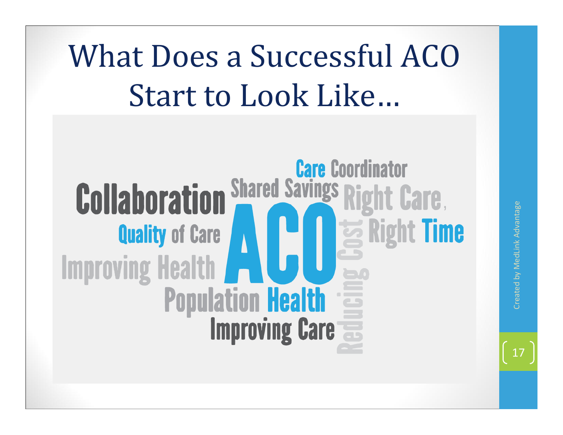### What Does a Successful ACO Start to Look Like…

#### **Care Coordinator Shared Savings Collaboration Right Care, Right Time Quality of Care Improving Health Population Health**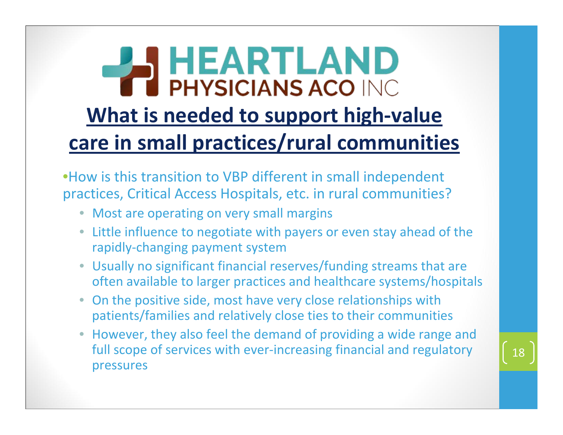#### **AND** HEARTLAND **PHYSICIANS ACO INC What is needed to support high‐value care in small practices/rural communities**

•How is this transition to VBP different in small independent practices, Critical Access Hospitals, etc. in rural communities?

- Most are operating on very small margins
- Little influence to negotiate with payers or even stay ahead of the rapidly‐changing payment system
- Usually no significant financial reserves/funding streams that are often available to larger practices and healthcare systems/hospitals
- On the positive side, most have very close relationships with patients/families and relatively close ties to their communities
- However, they also feel the demand of providing <sup>a</sup> wide range and full scope of services with ever‐increasing financial and regulatory pressures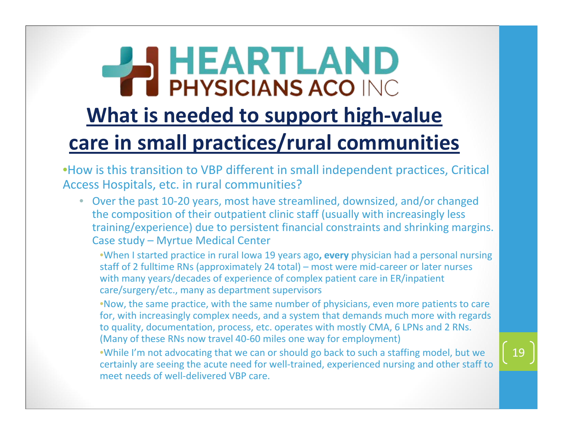#### **AND** HEARTLAND **PHYSICIANS ACO INC What is needed to support high‐value care in small practices/rural communities**

•How is this transition to VBP different in small independent practices, Critical Access Hospitals, etc. in rural communities?

• Over the past 10‐20 years, most have streamlined, downsized, and/or changed the composition of their outpatient clinic staff (usually with increasingly less training/experience) due to persistent financial constraints and shrinking margins. Case study – Myrtue Medical Center

•When I started practice in rural Iowa 19 years ago**, every** physician had <sup>a</sup> personal nursing staff of 2 fulltime RNs (approximately 24 total) – most were mid‐career or later nurses with many years/decades of experience of complex patient care in ER/inpatient care/surgery/etc., many as department supervisors

•Now, the same practice, with the same number of physicians, even more patients to care for, with increasingly complex needs, and <sup>a</sup> system that demands much more with regards to quality, documentation, process, etc. operates with mostly CMA, 6 LPNs and 2 RNs. (Many of these RNs now travel 40‐60 miles one way for employment)

•While I'm not advocating that we can or should go back to such <sup>a</sup> staffing model, but we certainly are seeing the acute need for well-trained, experienced nursing and other staff to meet needs of well‐delivered VBP care.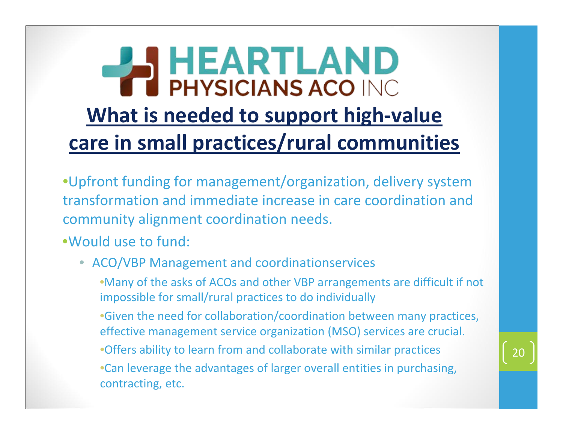### **HEARTLAND TE PHYSICIANS ACO INC What is needed to support high‐value care in small practices/rural communities**

- •Upfront funding for management/organization, delivery system transformation and immediate increase in care coordination and community alignment coordination needs.
- •Would use to fund:
	- ACO/VBP Management and coordinationservices
		- •Many of the asks of ACOs and other VBP arrangements are difficult if not impossible for small/rural practices to do individually
		- •Given the need for collaboration/coordination between many practices, effective management service organization (MSO) services are crucial.
		- •Offers ability to learn from and collaborate with similar practices
		- •Can leverage the advantages of larger overall entities in purchasing, contracting, etc.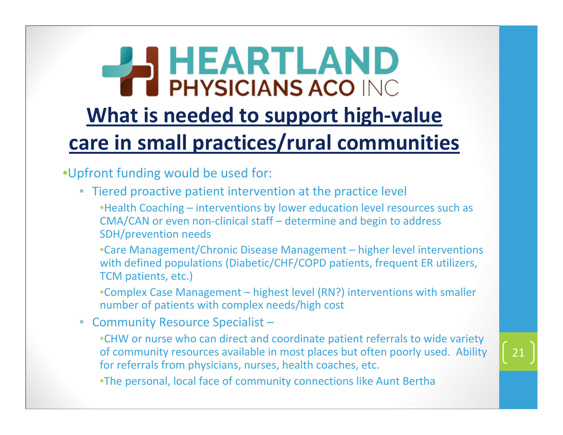### **HEARTLAND TE PHYSICIANS ACO INC What is needed to support high‐value care in small practices/rural communities**

•Upfront funding would be used for:

- Tiered proactive patient intervention at the practice level
	- •Health Coaching interventions by lower education level resources such as CMA/CAN or even non‐clinical staff – determine and begin to address SDH/prevention needs
	- •Care Management/Chronic Disease Management higher level interventions with defined populations (Diabetic/CHF/COPD patients, frequent ER utilizers, TCM patients, etc.)
	- •Complex Case Management highest level (RN?) interventions with smaller number of patients with complex needs/high cost
- Community Resource Specialist
	- •CHW or nurse who can direct and coordinate patient referrals to wide variety of community resources available in most places but often poorly used. Ability for referrals from physicians, nurses, health coaches, etc.
	- •The personal, local face of community connections like Aunt Bertha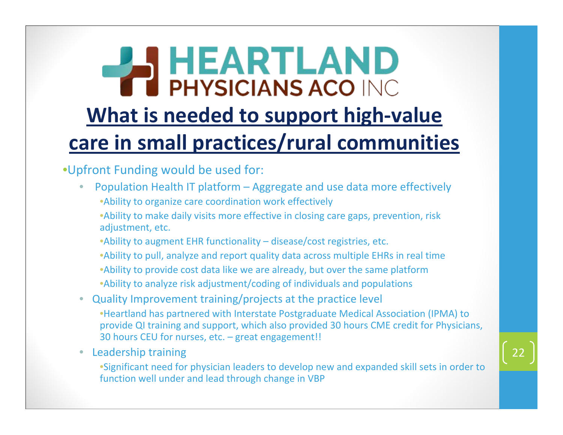#### **HEARTLAND TE PHYSICIANS ACO INC What is needed to support high‐value care in small practices/rural communities**

#### •Upfront Funding would be used for:

- Population Health IT platform Aggregate and use data more effectively •Ability to organize care coordination work effectively
	- •Ability to make daily visits more effective in closing care gaps, prevention, risk adjustment, etc.
	- •Ability to augment EHR functionality disease/cost registries, etc.
	- •Ability to pull, analyze and report quality data across multiple EHRs in real time
	- •Ability to provide cost data like we are already, but over the same platform •Ability to analyze risk adjustment/coding of individuals and populations
- Quality Improvement training/projects at the practice level
	- •Heartland has partnered with Interstate Postgraduate Medical Association (IPMA) to provide QI training and support, which also provided 30 hours CME credit for Physicians, 30 hours CEU for nurses, etc. – great engagement!!
- Leadership training
	- •Significant need for physician leaders to develop new and expanded skill sets in order to function well under and lead through change in VBP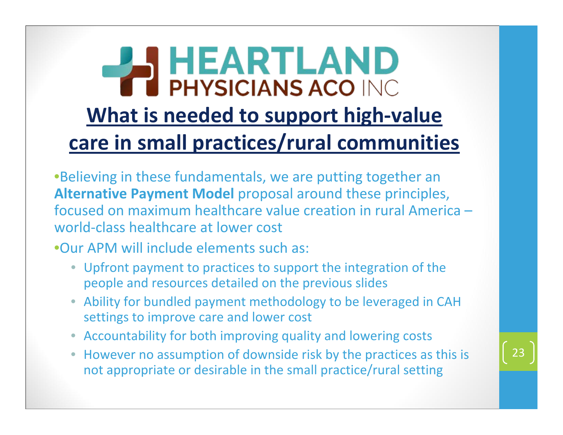### **HEARTLAND PHYSICIANS ACO INC. What is needed to support high‐value care in small practices/rural communities**

•Believing in these fundamentals, we are putting together an **Alternative Payment Model** proposal around these principles, focused on maximum healthcare value creation in rural America – world‐class healthcare at lower cost

•Our APM will include elements such as:

- Upfront payment to practices to support the integration of the people and resources detailed on the previous slides
- Ability for bundled payment methodology to be leveraged in CAH settings to improve care and lower cost
- Accountability for both improving quality and lowering costs
- However no assumption of downside risk by the practices as this is not appropriate or desirable in the small practice/rural setting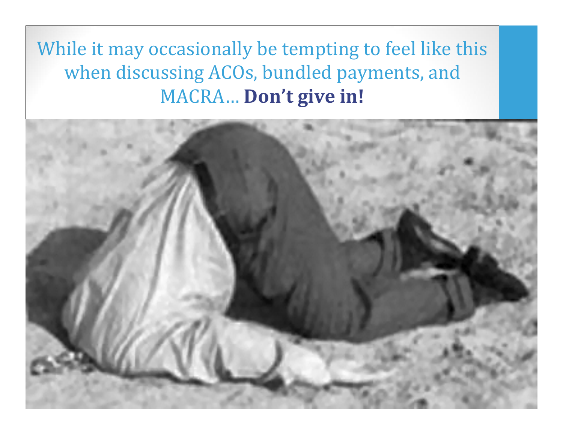While it may occasionally be tempting to feel like this when discussing ACOs, bundled payments, and MACRA… **Don't give in!**

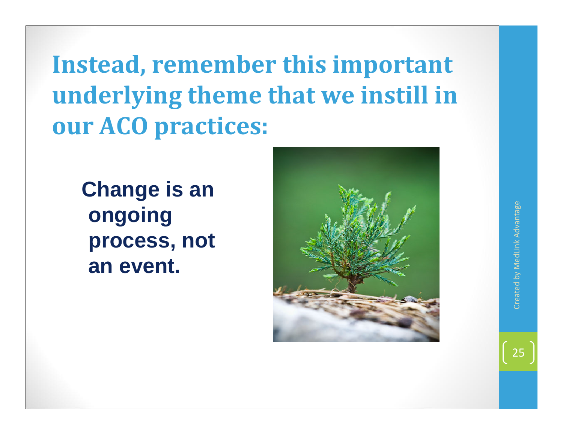**Instead, remember this important underlying theme that we instill in our ACO practices:**

**Change is an ongoing process, not an event.**